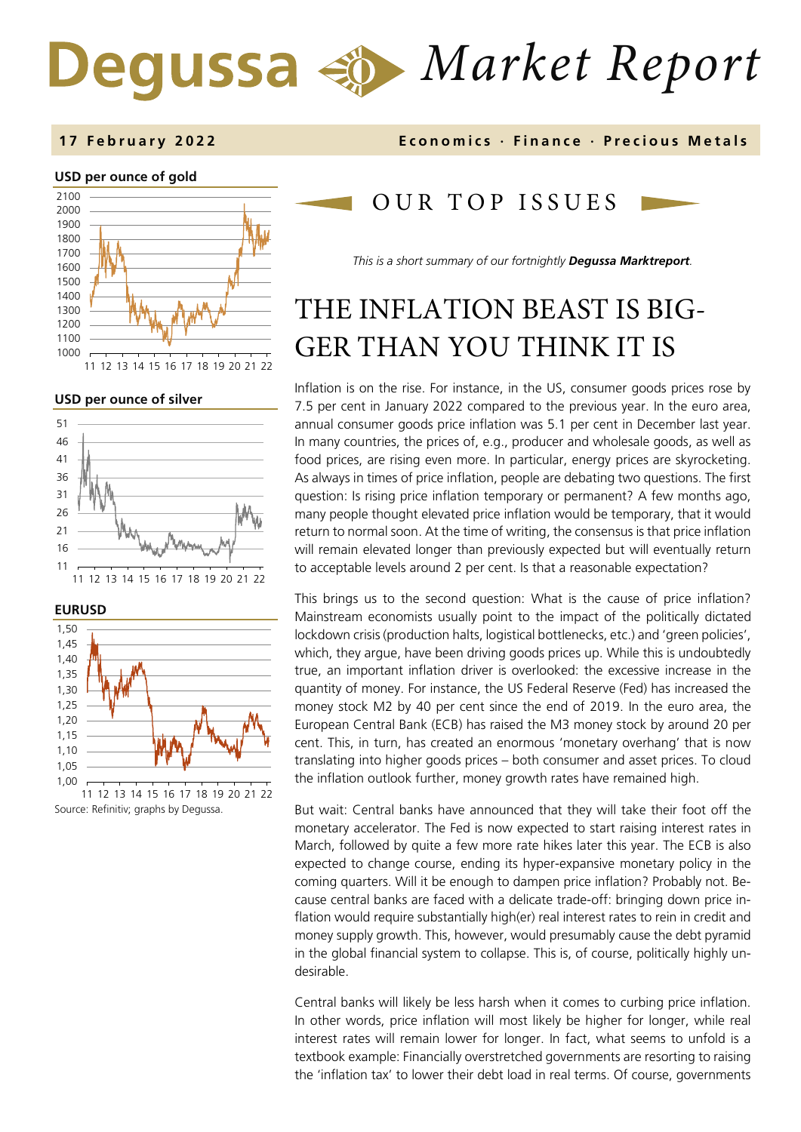# *Market Report* Degussa

### **1 7 February 202 2 Economics · Finance · Precious Metals**



#### **USD per ounce of silver**







# OUR TOP ISSUE S

*This is a short summary of our fortnightly Degussa Marktreport.*

# THE INFLATION BEAST IS BIG-GER THAN YOU THINK IT IS

Inflation is on the rise. For instance, in the US, consumer goods prices rose by 7.5 per cent in January 2022 compared to the previous year. In the euro area, annual consumer goods price inflation was 5.1 per cent in December last year. In many countries, the prices of, e.g., producer and wholesale goods, as well as food prices, are rising even more. In particular, energy prices are skyrocketing. As always in times of price inflation, people are debating two questions. The first question: Is rising price inflation temporary or permanent? A few months ago, many people thought elevated price inflation would be temporary, that it would return to normal soon. At the time of writing, the consensus is that price inflation will remain elevated longer than previously expected but will eventually return to acceptable levels around 2 per cent. Is that a reasonable expectation?

This brings us to the second question: What is the cause of price inflation? Mainstream economists usually point to the impact of the politically dictated lockdown crisis (production halts, logistical bottlenecks, etc.) and 'green policies', which, they argue, have been driving goods prices up. While this is undoubtedly true, an important inflation driver is overlooked: the excessive increase in the quantity of money. For instance, the US Federal Reserve (Fed) has increased the money stock M2 by 40 per cent since the end of 2019. In the euro area, the European Central Bank (ECB) has raised the M3 money stock by around 20 per cent. This, in turn, has created an enormous 'monetary overhang' that is now translating into higher goods prices – both consumer and asset prices. To cloud the inflation outlook further, money growth rates have remained high.

But wait: Central banks have announced that they will take their foot off the monetary accelerator. The Fed is now expected to start raising interest rates in March, followed by quite a few more rate hikes later this year. The ECB is also expected to change course, ending its hyper-expansive monetary policy in the coming quarters. Will it be enough to dampen price inflation? Probably not. Because central banks are faced with a delicate trade-off: bringing down price inflation would require substantially high(er) real interest rates to rein in credit and money supply growth. This, however, would presumably cause the debt pyramid in the global financial system to collapse. This is, of course, politically highly undesirable.

Central banks will likely be less harsh when it comes to curbing price inflation. In other words, price inflation will most likely be higher for longer, while real interest rates will remain lower for longer. In fact, what seems to unfold is a textbook example: Financially overstretched governments are resorting to raising the 'inflation tax' to lower their debt load in real terms. Of course, governments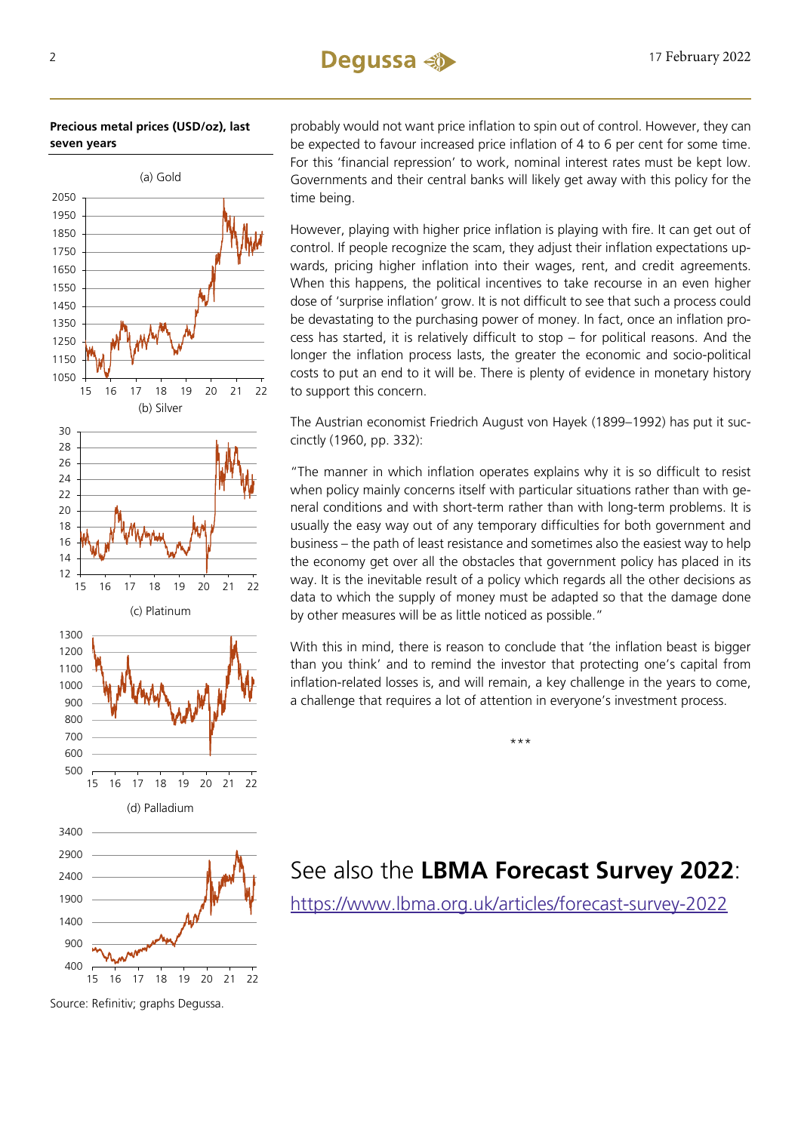#### **Precious metal prices (USD/oz), last seven years**



Source: Refinitiv; graphs Degussa.

probably would not want price inflation to spin out of control. However, they can be expected to favour increased price inflation of 4 to 6 per cent for some time. For this 'financial repression' to work, nominal interest rates must be kept low. Governments and their central banks will likely get away with this policy for the time being.

However, playing with higher price inflation is playing with fire. It can get out of control. If people recognize the scam, they adjust their inflation expectations upwards, pricing higher inflation into their wages, rent, and credit agreements. When this happens, the political incentives to take recourse in an even higher dose of 'surprise inflation' grow. It is not difficult to see that such a process could be devastating to the purchasing power of money. In fact, once an inflation process has started, it is relatively difficult to stop – for political reasons. And the longer the inflation process lasts, the greater the economic and socio-political costs to put an end to it will be. There is plenty of evidence in monetary history to support this concern.

The Austrian economist Friedrich August von Hayek (1899–1992) has put it succinctly (1960, pp. 332):

"The manner in which inflation operates explains why it is so difficult to resist when policy mainly concerns itself with particular situations rather than with general conditions and with short-term rather than with long-term problems. It is usually the easy way out of any temporary difficulties for both government and business – the path of least resistance and sometimes also the easiest way to help the economy get over all the obstacles that government policy has placed in its way. It is the inevitable result of a policy which regards all the other decisions as data to which the supply of money must be adapted so that the damage done by other measures will be as little noticed as possible."

With this in mind, there is reason to conclude that 'the inflation beast is bigger than you think' and to remind the investor that protecting one's capital from inflation-related losses is, and will remain, a key challenge in the years to come, a challenge that requires a lot of attention in everyone's investment process.

\*\*\*

# See also the **LBMA Forecast Survey 2022**:

<https://www.lbma.org.uk/articles/forecast-survey-2022>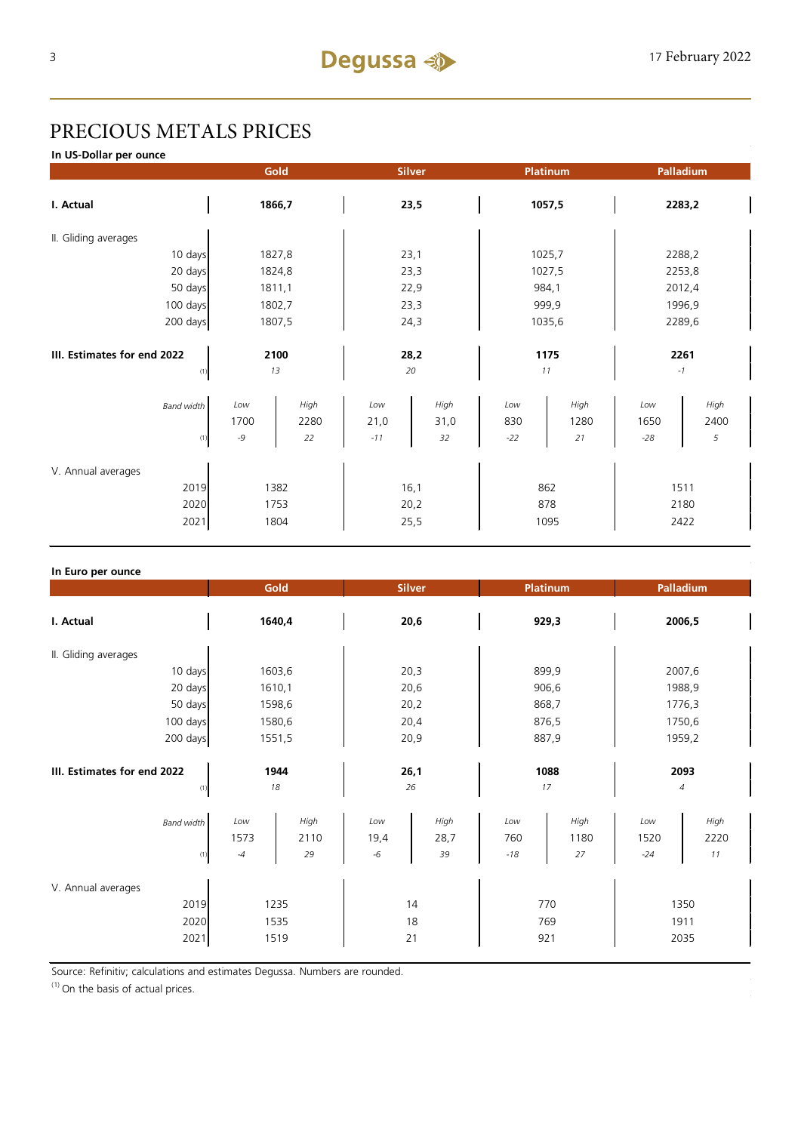# PRECIOUS METALS PRICES

**In US-Dollar per ounce**

|                             | Gold   |        | <b>Silver</b> |      | Platinum |        | Palladium |        |  |
|-----------------------------|--------|--------|---------------|------|----------|--------|-----------|--------|--|
| I. Actual                   | 1866,7 |        | 23,5          |      | 1057,5   |        | 2283,2    |        |  |
| II. Gliding averages        |        |        |               |      |          |        |           |        |  |
| 10 days                     | 1827,8 |        | 23,1          |      | 1025,7   |        | 2288,2    |        |  |
| 20 days                     |        | 1824,8 |               | 23,3 |          | 1027,5 |           | 2253,8 |  |
| 50 days                     |        | 1811,1 |               | 22,9 |          | 984,1  |           | 2012,4 |  |
| 100 days                    |        | 1802,7 |               | 23,3 |          | 999,9  |           | 1996,9 |  |
| 200 days                    | 1807,5 |        | 24,3          |      | 1035,6   |        | 2289,6    |        |  |
|                             |        |        |               |      |          |        |           |        |  |
| III. Estimates for end 2022 | 2100   |        | 28,2          |      | 1175     |        | 2261      |        |  |
| (1)                         | 13     |        | 20            |      | 11       |        | $-1$      |        |  |
| <b>Band width</b>           | Low    | High   | Low           | High | Low      | High   | Low       | High   |  |
|                             | 1700   | 2280   | 21,0          | 31,0 | 830      | 1280   | 1650      | 2400   |  |
| (1)                         | -9     | 22     | $-11$         | 32   | $-22$    | $21$   | $-28$     | 5      |  |
| V. Annual averages          |        |        |               |      |          |        |           |        |  |
| 2019                        | 1382   |        | 16,1          |      | 862      |        | 1511      |        |  |
| 2020                        | 1753   |        | 20,2          |      | 878      |        | 2180      |        |  |
| 2021                        | 1804   |        | 25,5          |      | 1095     |        | 2422      |        |  |

| In Euro per ounce                          |                      |                    |                     |                    |                     |                    |                      |                      |  |  |  |  |
|--------------------------------------------|----------------------|--------------------|---------------------|--------------------|---------------------|--------------------|----------------------|----------------------|--|--|--|--|
|                                            | Gold                 |                    | <b>Silver</b>       |                    | Platinum            |                    | Palladium            |                      |  |  |  |  |
| I. Actual                                  | 1640,4               |                    | 20,6                |                    | 929,3               |                    | 2006,5               |                      |  |  |  |  |
| II. Gliding averages                       |                      |                    |                     |                    |                     |                    |                      |                      |  |  |  |  |
| 10 days                                    | 1603,6               |                    | 20,3                |                    | 899,9               |                    | 2007,6               |                      |  |  |  |  |
| 20 days                                    | 1610,1               |                    | 20,6                |                    | 906,6               |                    | 1988,9               |                      |  |  |  |  |
| 50 days                                    | 1598,6               |                    | 20,2                |                    | 868,7               |                    | 1776,3               |                      |  |  |  |  |
| 100 days                                   |                      | 1580,6             |                     | 20,4               |                     | 876,5              |                      | 1750,6               |  |  |  |  |
| 200 days                                   | 1551,5               |                    | 20,9                |                    | 887,9               |                    | 1959,2               |                      |  |  |  |  |
| III. Estimates for end 2022<br>(1)         | 1944<br>18           |                    | 26,1<br>26          |                    | 1088<br>17          |                    | 2093<br>4            |                      |  |  |  |  |
| <b>Band width</b><br>(1)                   | Low<br>1573<br>$-4$  | High<br>2110<br>29 | Low<br>19,4<br>$-6$ | High<br>28,7<br>39 | Low<br>760<br>$-18$ | High<br>1180<br>27 | Low<br>1520<br>$-24$ | High<br>2220<br>$11$ |  |  |  |  |
| V. Annual averages<br>2019<br>2020<br>2021 | 1235<br>1535<br>1519 |                    | 14<br>18<br>21      |                    | 770<br>769<br>921   |                    | 1350<br>1911<br>2035 |                      |  |  |  |  |

Source: Refinitiv; calculations and estimates Degussa. Numbers are rounded.

 $(1)$  On the basis of actual prices.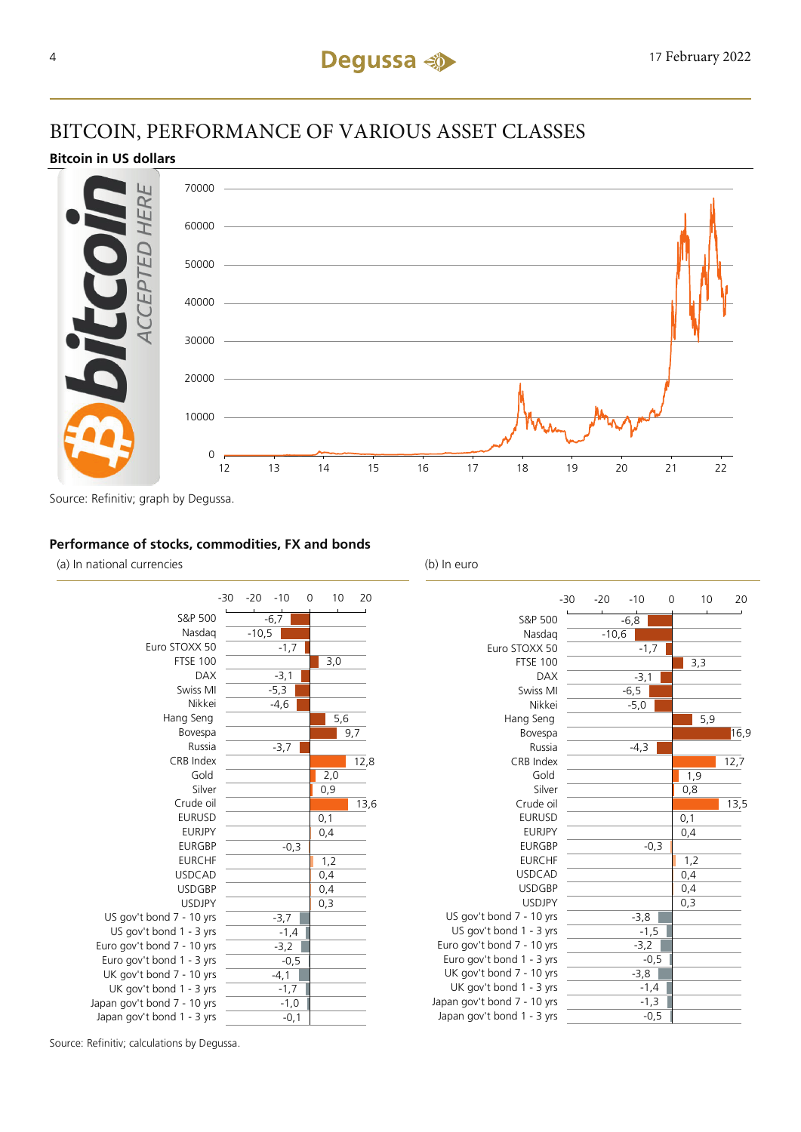## BITCOIN, PERFORMANCE OF VARIOUS ASSET CLASSES

#### **Bitcoin in US dollars**



Source: Refinitiv; graph by Degussa.

#### **Performance of stocks, commodities, FX and bonds**

(a) In national currencies (b) In euro





 $16,9$ 

 $12.7$ 

 $\overline{13,5}$ 

Source: Refinitiv; calculations by Degussa.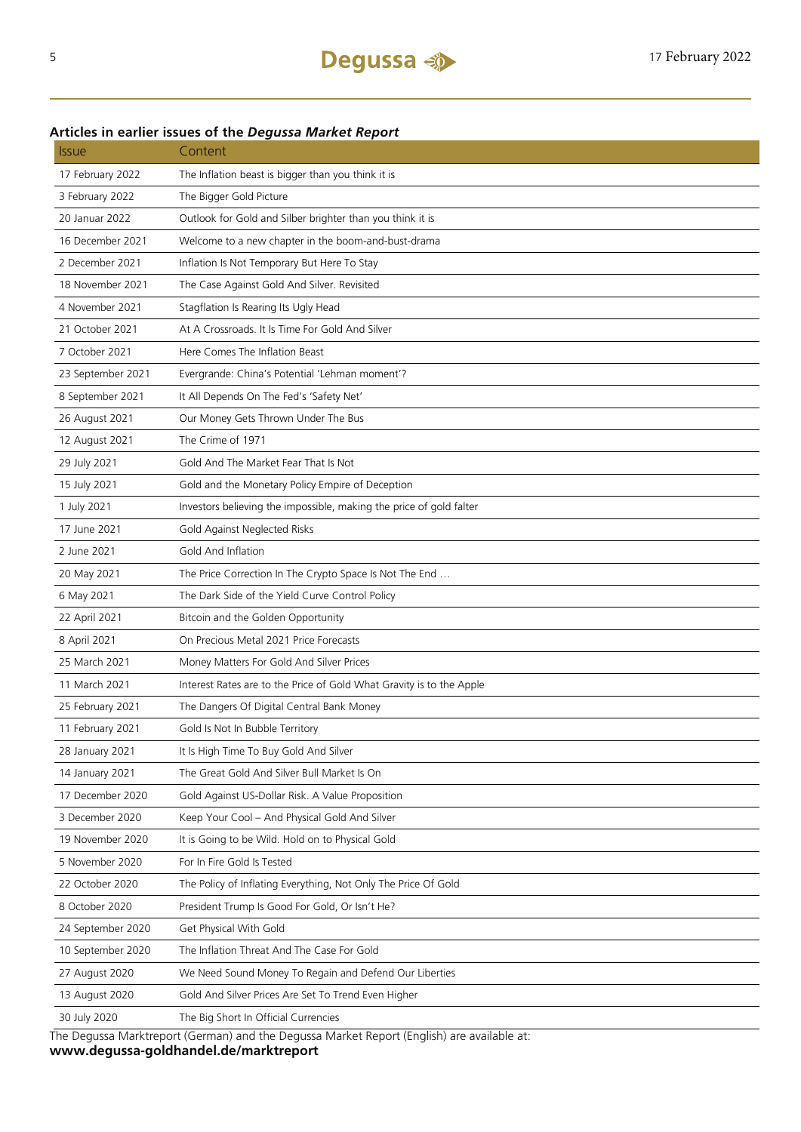### Issue Content 17 February 2022 The Inflation beast is bigger than you think it is 3 February 2022 The Bigger Gold Picture 20 Januar 2022 **Outlook for Gold and Silber brighter than you think it is** 16 December 2021 Welcome to a new chapter in the boom-and-bust-drama 2 December 2021 Inflation Is Not Temporary But Here To Stay 18 November 2021 The Case Against Gold And Silver. Revisited 4 November 2021 Stagflation Is Rearing Its Ugly Head 21 October 2021 At A Crossroads. It Is Time For Gold And Silver 7 October 2021 Here Comes The Inflation Beast 23 September 2021 Evergrande: China's Potential 'Lehman moment'? 8 September 2021 It All Depends On The Fed's 'Safety Net' 26 August 2021 Our Money Gets Thrown Under The Bus 12 August 2021 The Crime of 1971 29 July 2021 Gold And The Market Fear That Is Not 15 July 2021 Gold and the Monetary Policy Empire of Deception 1 July 2021 Investors believing the impossible, making the price of gold falter 17 June 2021 Gold Against Neglected Risks 2 June 2021 Gold And Inflation 20 May 2021 The Price Correction In The Crypto Space Is Not The End … 6 May 2021 The Dark Side of the Yield Curve Control Policy 22 April 2021 Bitcoin and the Golden Opportunity 8 April 2021 On Precious Metal 2021 Price Forecasts 25 March 2021 Money Matters For Gold And Silver Prices 11 March 2021 Interest Rates are to the Price of Gold What Gravity is to the Apple 25 February 2021 The Dangers Of Digital Central Bank Money 11 February 2021 Gold Is Not In Bubble Territory 28 January 2021 It Is High Time To Buy Gold And Silver 14 January 2021 The Great Gold And Silver Bull Market Is On 17 December 2020 Gold Against US-Dollar Risk. A Value Proposition 3 December 2020 Keep Your Cool – And Physical Gold And Silver 19 November 2020 It is Going to be Wild. Hold on to Physical Gold 5 November 2020 For In Fire Gold Is Tested 22 October 2020 The Policy of Inflating Everything, Not Only The Price Of Gold 8 October 2020 President Trump Is Good For Gold, Or Isn't He? 24 September 2020 Get Physical With Gold 10 September 2020 The Inflation Threat And The Case For Gold 27 August 2020 We Need Sound Money To Regain and Defend Our Liberties 13 August 2020 Gold And Silver Prices Are Set To Trend Even Higher 30 July 2020 The Big Short In Official Currencies

#### **Articles in earlier issues of the** *Degussa Market Report*

The Degussa Marktreport (German) and the Degussa Market Report (English) are available at: **www.degussa-goldhandel.de/marktreport**